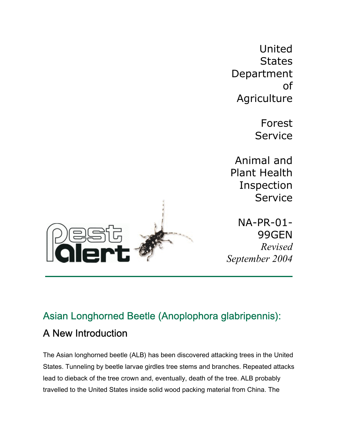United **States** Department of **Agriculture** 

> Forest Service

Animal and Plant Health Inspection Service

NA-PR-01- 99GEN *Revised September 2004*



## Asian Longhorned Beetle (Anoplophora glabripennis): A New Introduction

The Asian longhorned beetle (ALB) has been discovered attacking trees in the United States. Tunneling by beetle larvae girdles tree stems and branches. Repeated attacks lead to dieback of the tree crown and, eventually, death of the tree. ALB probably travelled to the United States inside solid wood packing material from China. The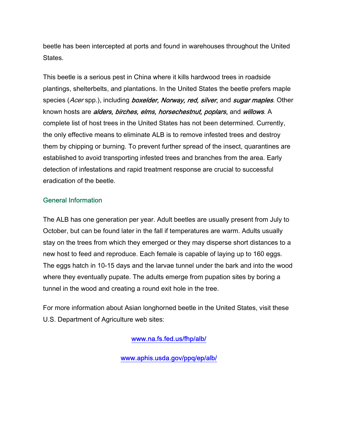beetle has been intercepted at ports and found in warehouses throughout the United States.

This beetle is a serious pest in China where it kills hardwood trees in roadside plantings, shelterbelts, and plantations. In the United States the beetle prefers maple species (Acer spp.), including boxelder, Norway, red, silver, and sugar maples. Other known hosts are *alders, birches, elms, horsechestnut, poplars*, and *willows*. A complete list of host trees in the United States has not been determined. Currently, the only effective means to eliminate ALB is to remove infested trees and destroy them by chipping or burning. To prevent further spread of the insect, quarantines are established to avoid transporting infested trees and branches from the area. Early detection of infestations and rapid treatment response are crucial to successful eradication of the beetle.

## General Information

The ALB has one generation per year. Adult beetles are usually present from July to October, but can be found later in the fall if temperatures are warm. Adults usually stay on the trees from which they emerged or they may disperse short distances to a new host to feed and reproduce. Each female is capable of laying up to 160 eggs. The eggs hatch in 10-15 days and the larvae tunnel under the bark and into the wood where they eventually pupate. The adults emerge from pupation sites by boring a tunnel in the wood and creating a round exit hole in the tree.

For more information about Asian longhorned beetle in the United States, visit these U.S. Department of Agriculture web sites:

[www.na.fs.fed.us/fhp/alb/](http://www.na.fs.fed.us/fhp/alb/) 

[www.aphis.usda.gov/ppq/ep/alb/](http://www.aphis.usda.gov/ppq/ep/alb/)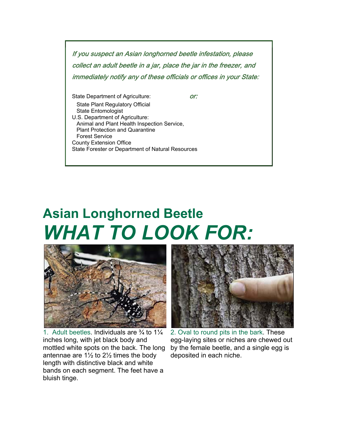If you suspect an Asian longhorned beetle infestation, please collect an adult beetle in a jar, place the jar in the freezer, and immediately notify any of these officials or offices in your State:

State Department of Agriculture: **or:**  State Plant Regulatory Official State Entomologist U.S. Department of Agriculture: Animal and Plant Health Inspection Service, Plant Protection and Quarantine Forest Service County Extension Office State Forester or Department of Natural Resources

**Asian Longhorned Beetle** *WHAT TO LOOK FOR:* 



1. Adult beetles. Individuals are  $\frac{3}{4}$  to  $1\frac{1}{4}$ inches long, with jet black body and mottled white spots on the back. The long antennae are  $1\frac{1}{2}$  to  $2\frac{1}{2}$  times the body length with distinctive black and white bands on each segment. The feet have a bluish tinge.



2. Oval to round pits in the bark. These egg-laying sites or niches are chewed out by the female beetle, and a single egg is deposited in each niche.